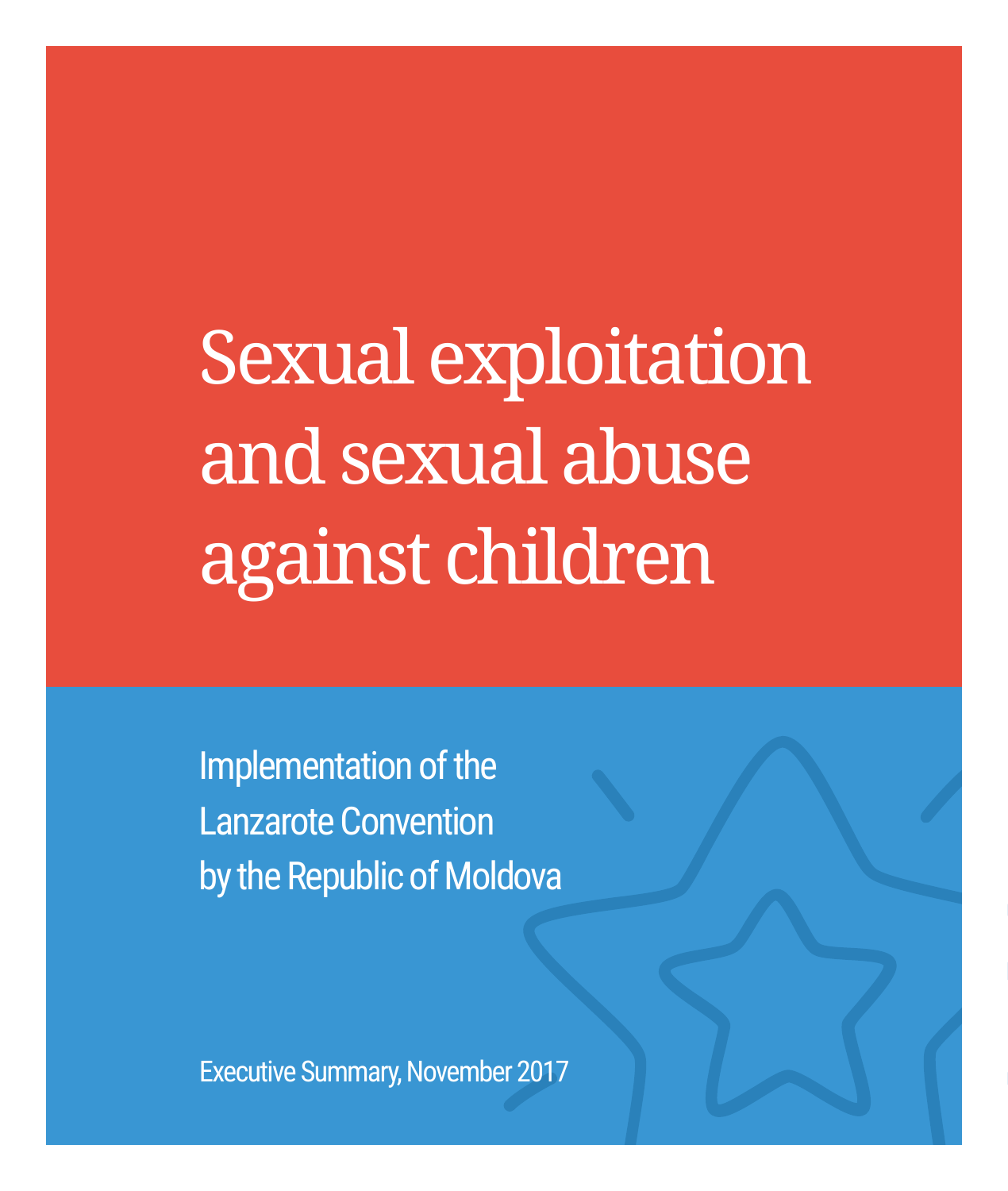Sexual exploitation and sexual abuse against children

Implementation of the Lanzarote Convention by the Republic of Moldova

Executive Summary, November 2017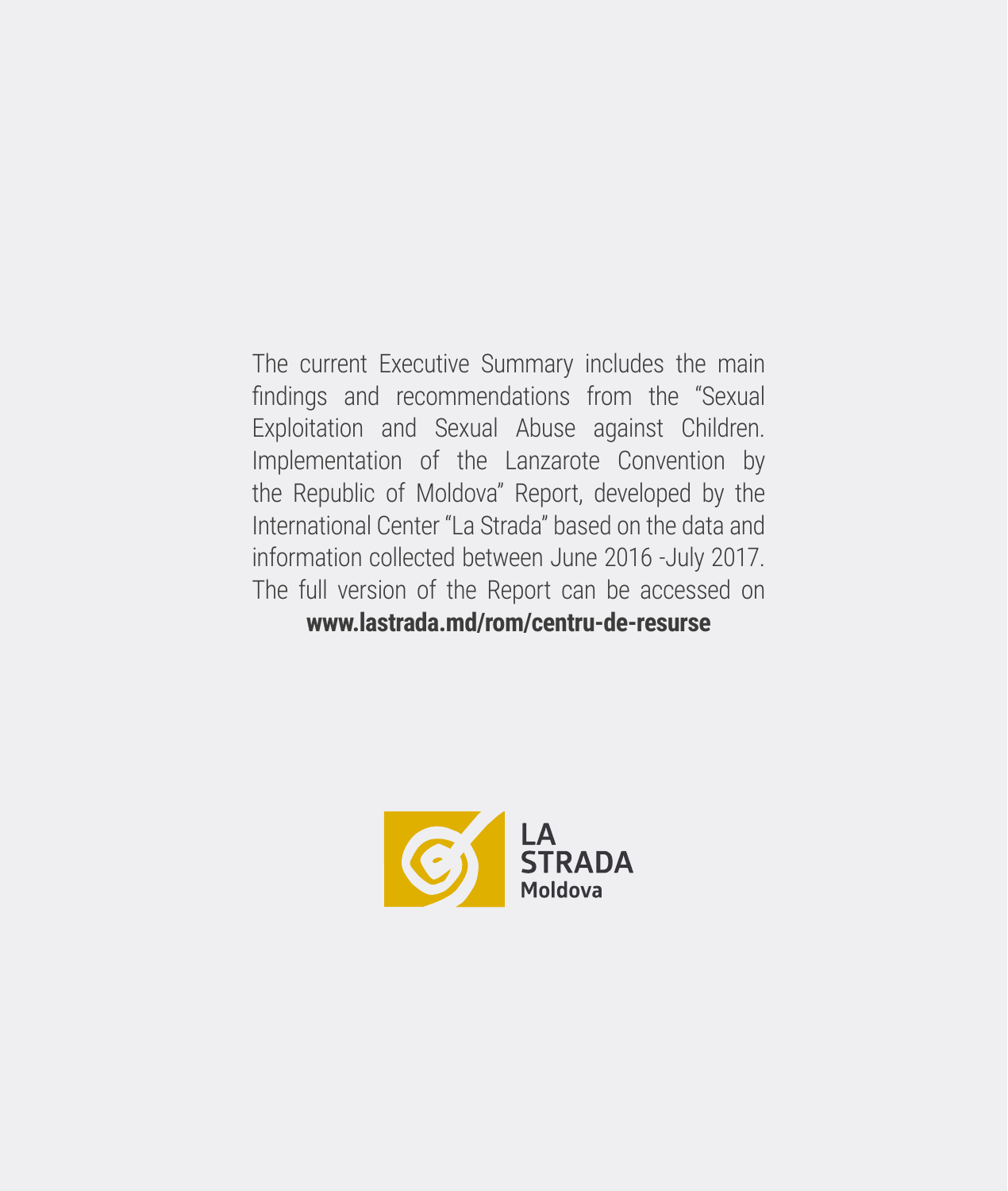The current Executive Summary includes the main findings and recommendations from the "Sexual Exploitation and Sexual Abuse against Children. Implementation of the Lanzarote Convention by the Republic of Moldova" Report, developed by the International Center "La Strada" based on the data and information collected between June 2016 -July 2017. The full version of the Report can be accessed on **www.lastrada.md/rom/centru-de-resurse**

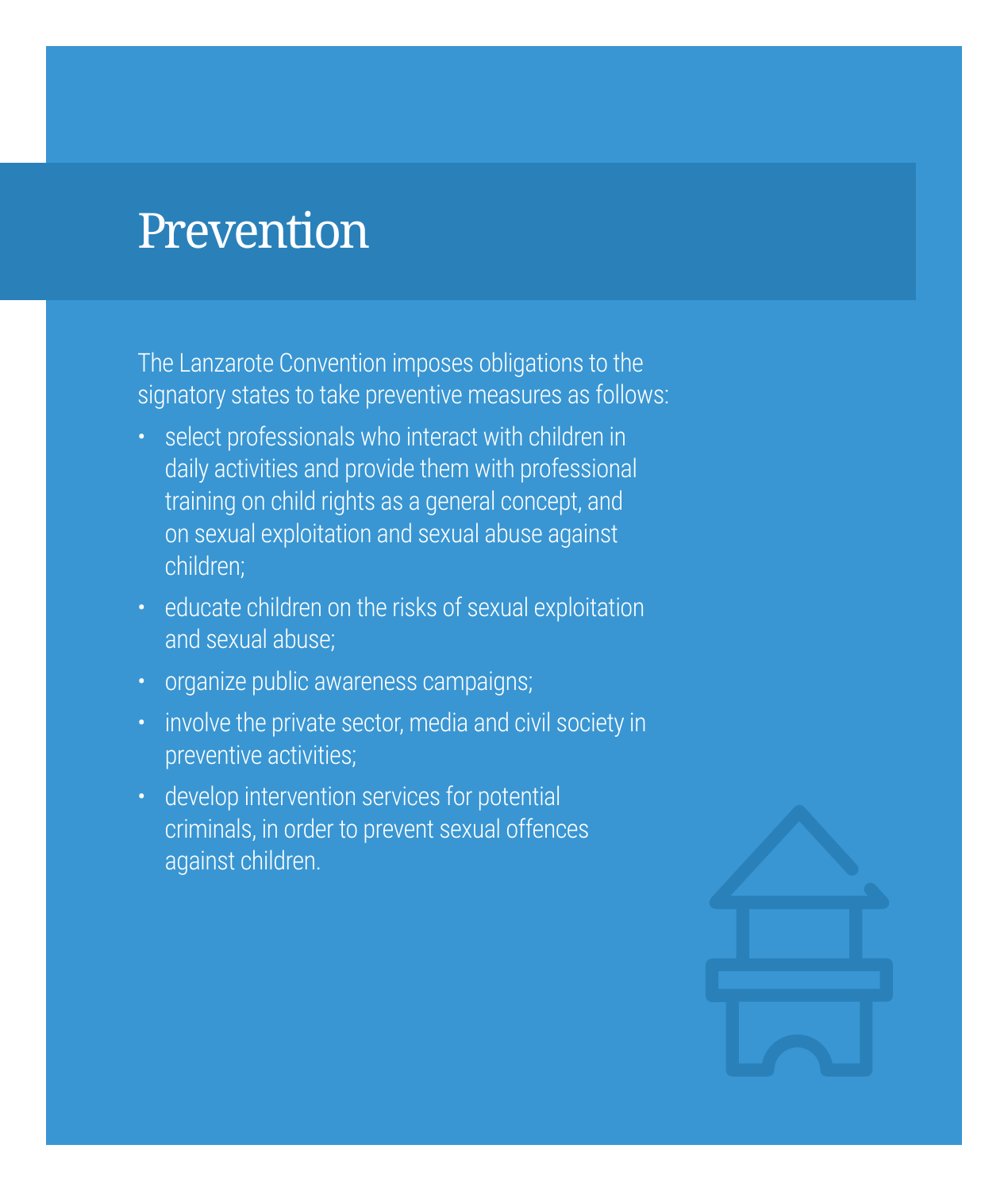# Prevention

The Lanzarote Convention imposes obligations to the signatory states to take preventive measures as follows:

- select professionals who interact with children in daily activities and provide them with professional training on child rights as a general concept, and on sexual exploitation and sexual abuse against children;
- educate children on the risks of sexual exploitation and sexual abuse;
- organize public awareness campaigns;
- involve the private sector, media and civil society in preventive activities;
- develop intervention services for potential criminals, in order to prevent sexual offences against children.

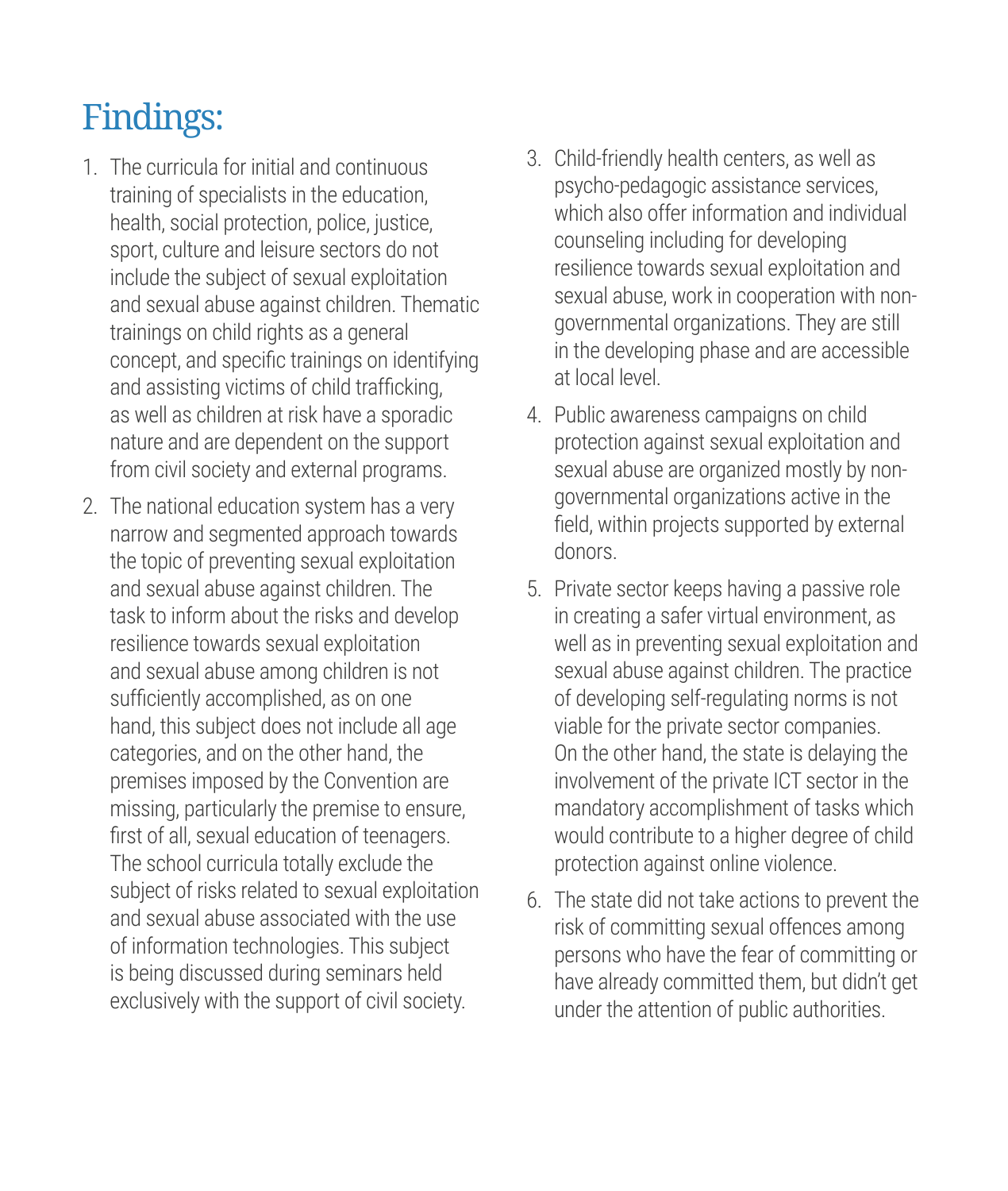- 1. The curricula for initial and continuous training of specialists in the education, health, social protection, police, justice, sport, culture and leisure sectors do not include the subject of sexual exploitation and sexual abuse against children. Thematic trainings on child rights as a general concept, and specific trainings on identifying and assisting victims of child trafficking, as well as children at risk have a sporadic nature and are dependent on the support from civil society and external programs.
- 2. The national education system has a very narrow and segmented approach towards the topic of preventing sexual exploitation and sexual abuse against children. The task to inform about the risks and develop resilience towards sexual exploitation and sexual abuse among children is not sufficiently accomplished, as on one hand, this subject does not include all age categories, and on the other hand, the premises imposed by the Convention are missing, particularly the premise to ensure, first of all, sexual education of teenagers. The school curricula totally exclude the subject of risks related to sexual exploitation and sexual abuse associated with the use of information technologies. This subject is being discussed during seminars held exclusively with the support of civil society.
- 3. Child-friendly health centers, as well as psycho-pedagogic assistance services, which also offer information and individual counseling including for developing resilience towards sexual exploitation and sexual abuse, work in cooperation with nongovernmental organizations. They are still in the developing phase and are accessible at local level.
- 4. Public awareness campaigns on child protection against sexual exploitation and sexual abuse are organized mostly by nongovernmental organizations active in the field, within projects supported by external donors.
- 5. Private sector keeps having a passive role in creating a safer virtual environment, as well as in preventing sexual exploitation and sexual abuse against children. The practice of developing self-regulating norms is not viable for the private sector companies. On the other hand, the state is delaying the involvement of the private ICT sector in the mandatory accomplishment of tasks which would contribute to a higher degree of child protection against online violence.
- 6. The state did not take actions to prevent the risk of committing sexual offences among persons who have the fear of committing or have already committed them, but didn't get under the attention of public authorities.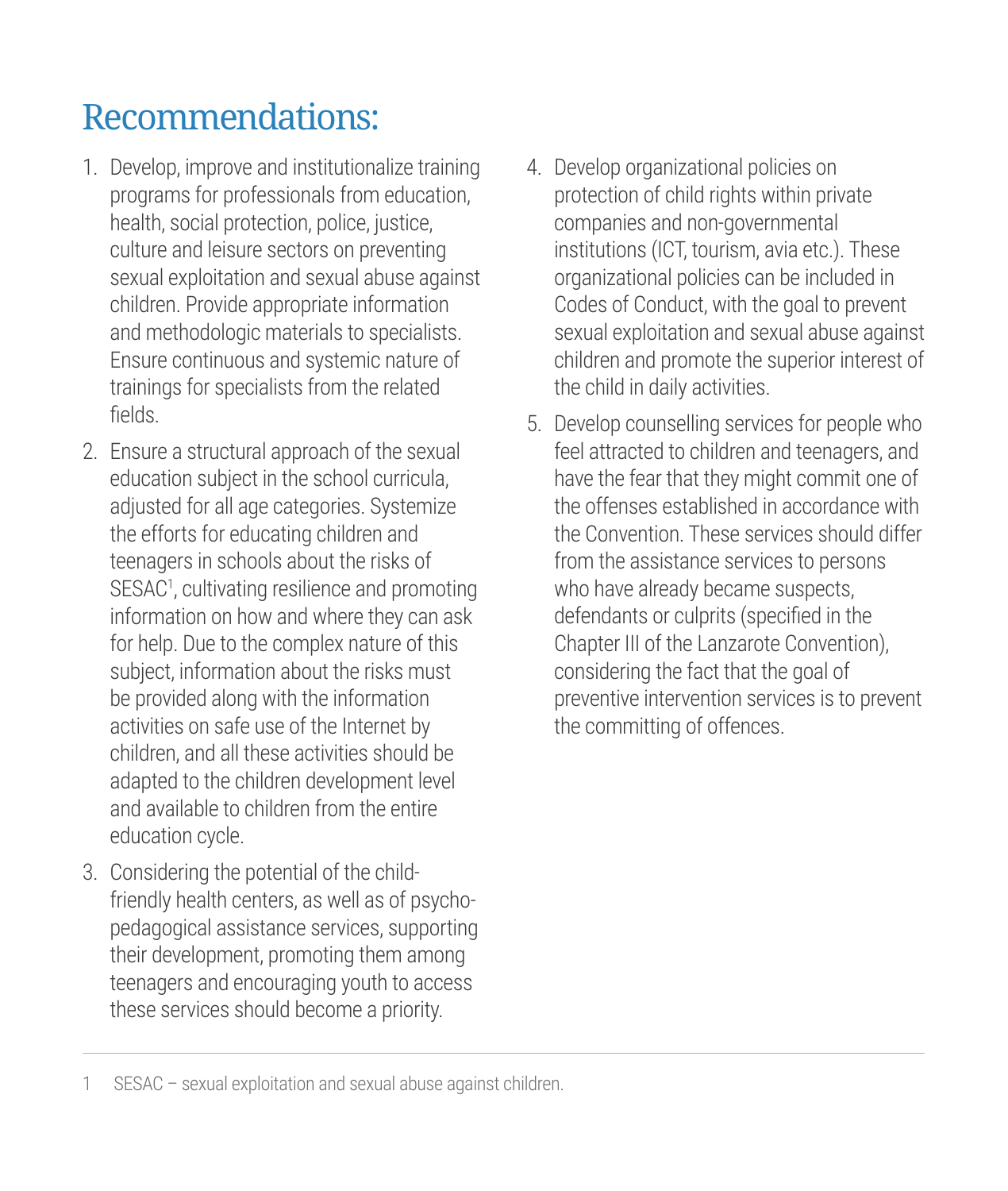### Recommendations:

- 1. Develop, improve and institutionalize training programs for professionals from education, health, social protection, police, justice, culture and leisure sectors on preventing sexual exploitation and sexual abuse against children. Provide appropriate information and methodologic materials to specialists. Ensure continuous and systemic nature of trainings for specialists from the related fields.
- 2. Ensure a structural approach of the sexual education subject in the school curricula, adjusted for all age categories. Systemize the efforts for educating children and teenagers in schools about the risks of SESAC1 , cultivating resilience and promoting information on how and where they can ask for help. Due to the complex nature of this subject, information about the risks must be provided along with the information activities on safe use of the Internet by children, and all these activities should be adapted to the children development level and available to children from the entire education cycle.
- 3. Considering the potential of the childfriendly health centers, as well as of psychopedagogical assistance services, supporting their development, promoting them among teenagers and encouraging youth to access these services should become a priority.
- 4. Develop organizational policies on protection of child rights within private companies and non-governmental institutions (ICT, tourism, avia etc.). These organizational policies can be included in Codes of Conduct, with the goal to prevent sexual exploitation and sexual abuse against children and promote the superior interest of the child in daily activities.
- 5. Develop counselling services for people who feel attracted to children and teenagers, and have the fear that they might commit one of the offenses established in accordance with the Convention. These services should differ from the assistance services to persons who have already became suspects, defendants or culprits (specified in the Chapter III of the Lanzarote Convention), considering the fact that the goal of preventive intervention services is to prevent the committing of offences.

<sup>1</sup> SESAC – sexual exploitation and sexual abuse against children.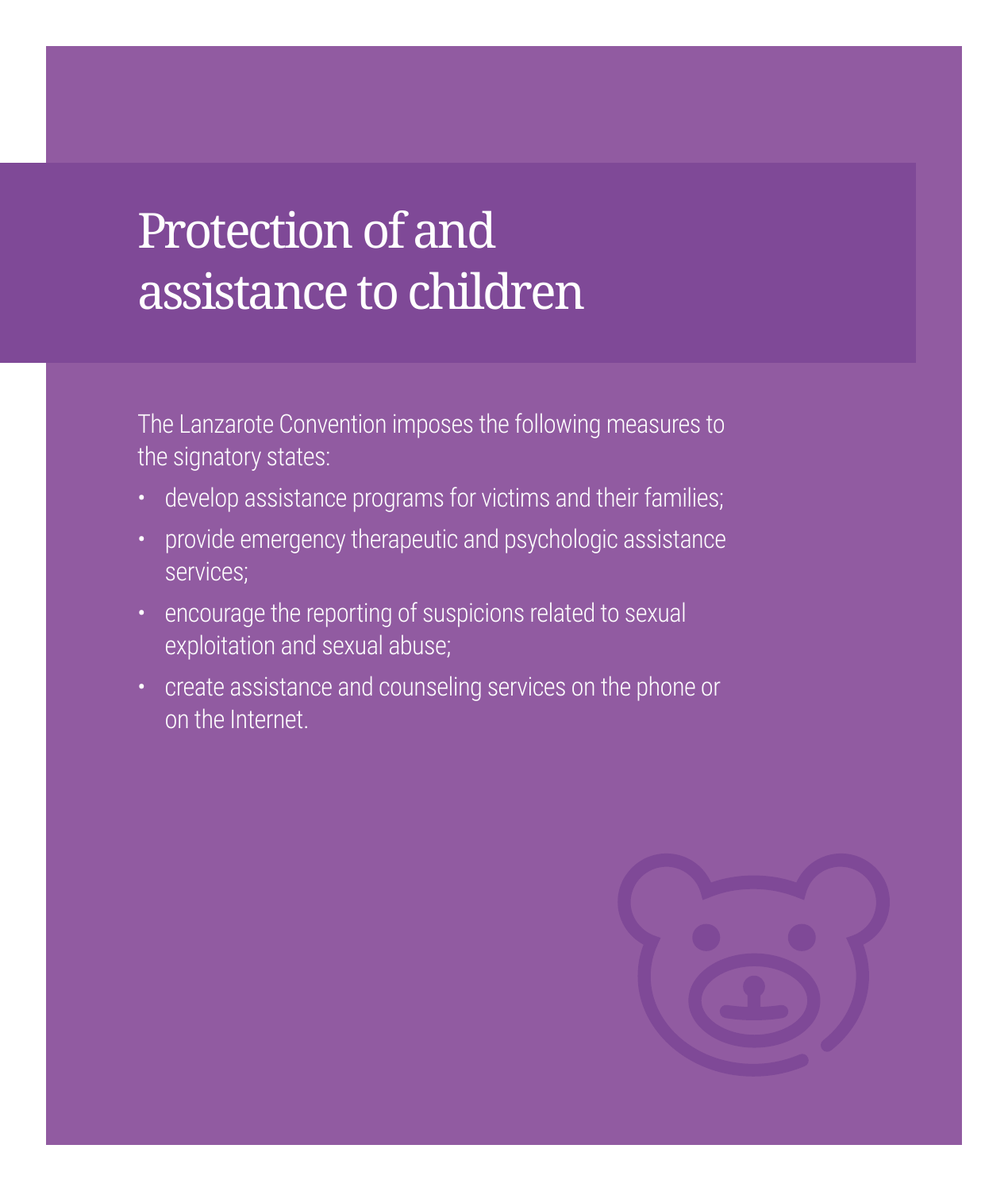# Protection of and assistance to children

The Lanzarote Convention imposes the following measures to the signatory states:

- develop assistance programs for victims and their families;
- provide emergency therapeutic and psychologic assistance services;
- encourage the reporting of suspicions related to sexual exploitation and sexual abuse;
- create assistance and counseling services on the phone or on the Internet.

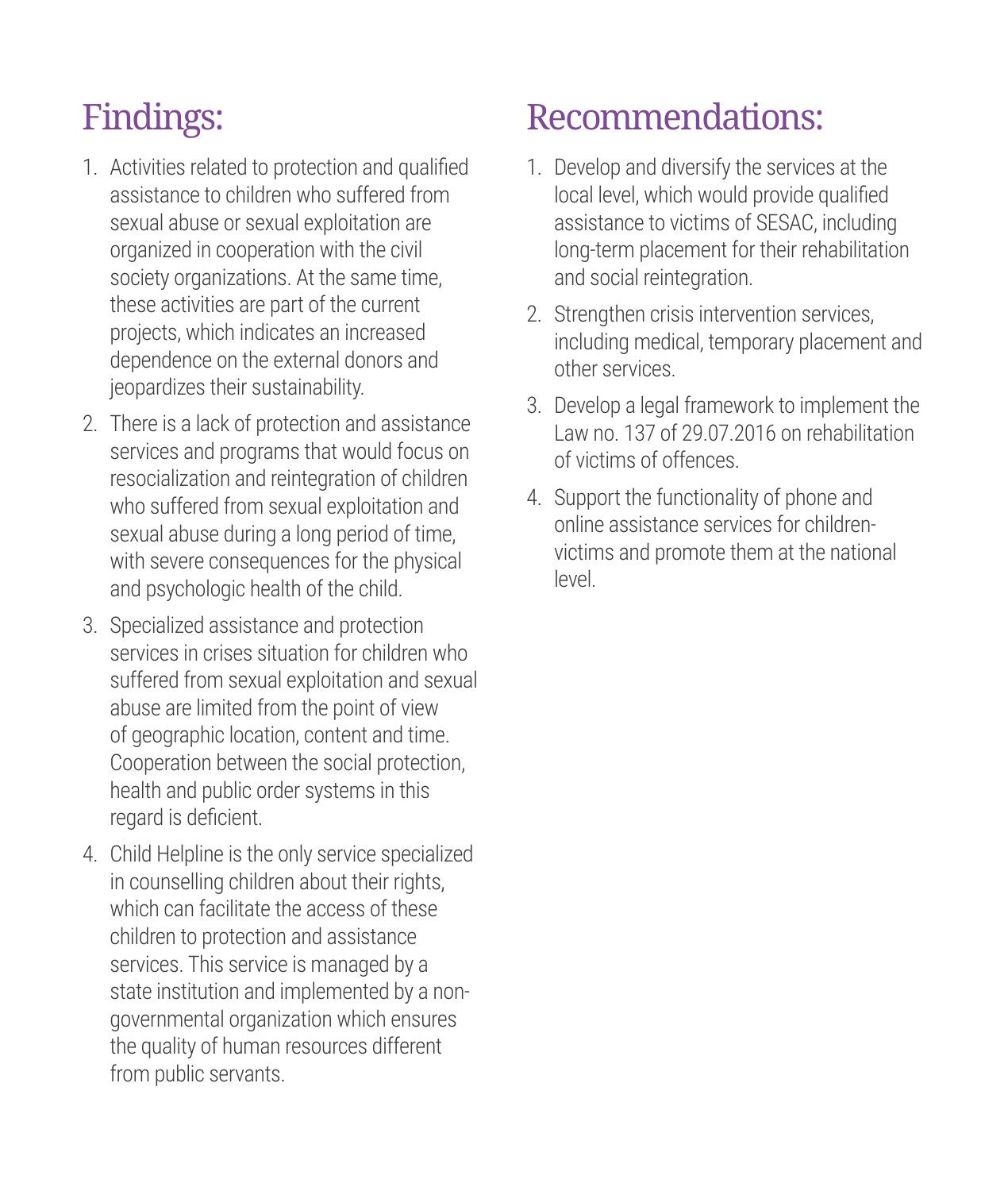- 1. Activities related to protection and qualified assistance to children who suffered from sexual abuse or sexual exploitation are organized in cooperation with the civil society organizations. At the same time, these activities are part of the current projects, which indicates an increased dependence on the external donors and jeopardizes their sustainability.
- 2. There is a lack of protection and assistance services and programs that would focus on resocialization and reintegration of children who suffered from sexual exploitation and sexual abuse during a long period of time, with severe consequences for the physical and psychologic health of the child.
- 3. Specialized assistance and protection services in crises situation for children who suffered from sexual exploitation and sexual abuse are limited from the point of view of geographic location, content and time. Cooperation between the social protection, health and public order systems in this regard is deficient.
- 4. Child Helpline is the only service specialized in counselling children about their rights, which can facilitate the access of these children to protection and assistance services. This service is managed by a state institution and implemented by a nongovernmental organization which ensures the quality of human resources different from public servants.

#### Recommendations:

- 1. Develop and diversify the services at the local level, which would provide qualified assistance to victims of SESAC, including long-term placement for their rehabilitation and social reintegration.
- 2. Strengthen crisis intervention services, including medical, temporary placement and other services.
- 3. Develop a legal framework to implement the Law no. 137 of 29.07.2016 on rehabilitation of victims of offences.
- 4. Support the functionality of phone and online assistance services for childrenvictims and promote them at the national level.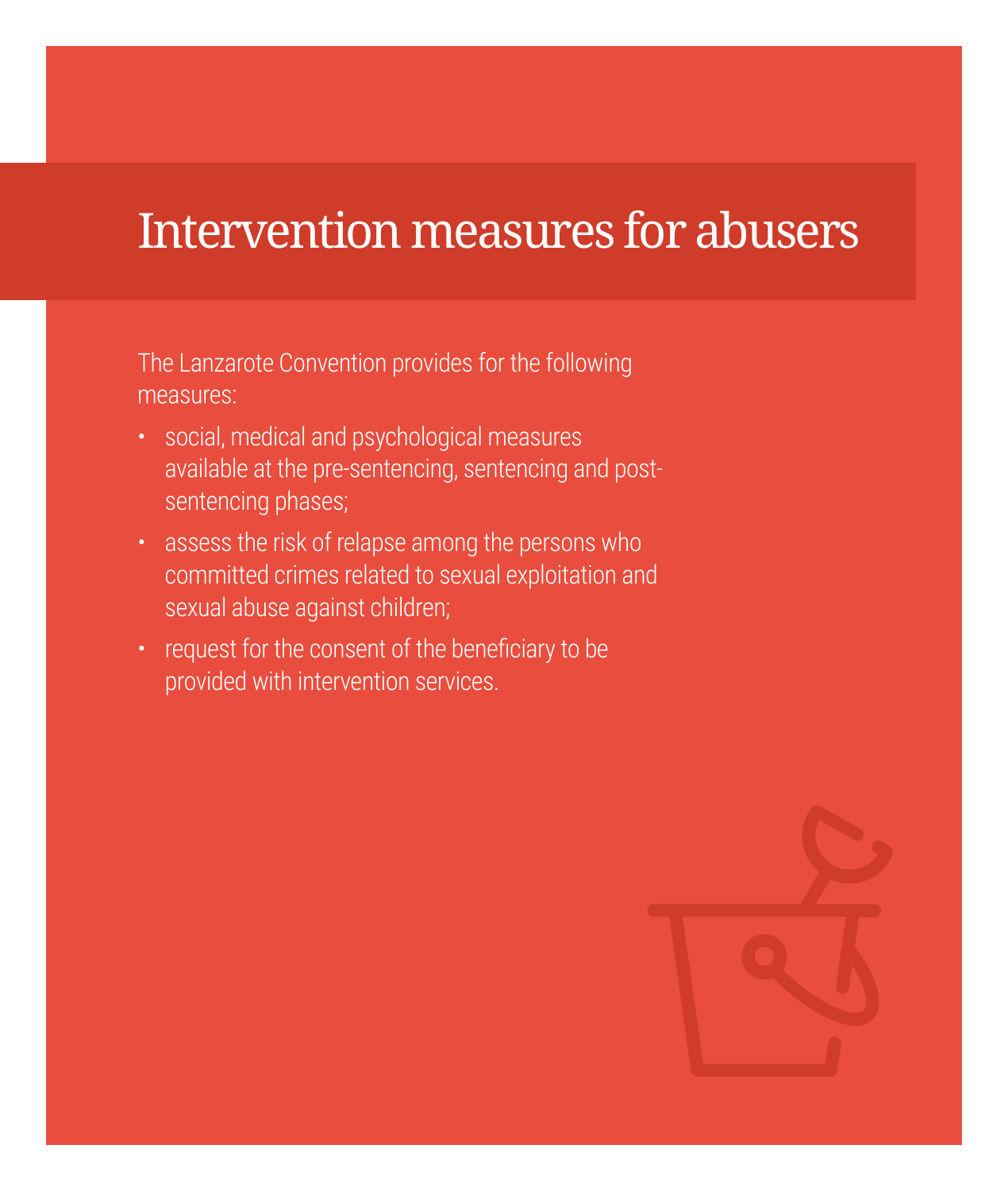# Intervention measures for abusers

The Lanzarote Convention provides for the following measures:

- social, medical and psychological measures available at the pre-sentencing, sentencing and postsentencing phases;
- assess the risk of relapse among the persons who committed crimes related to sexual exploitation and sexual abuse against children;
- request for the consent of the beneficiary to be provided with intervention services.

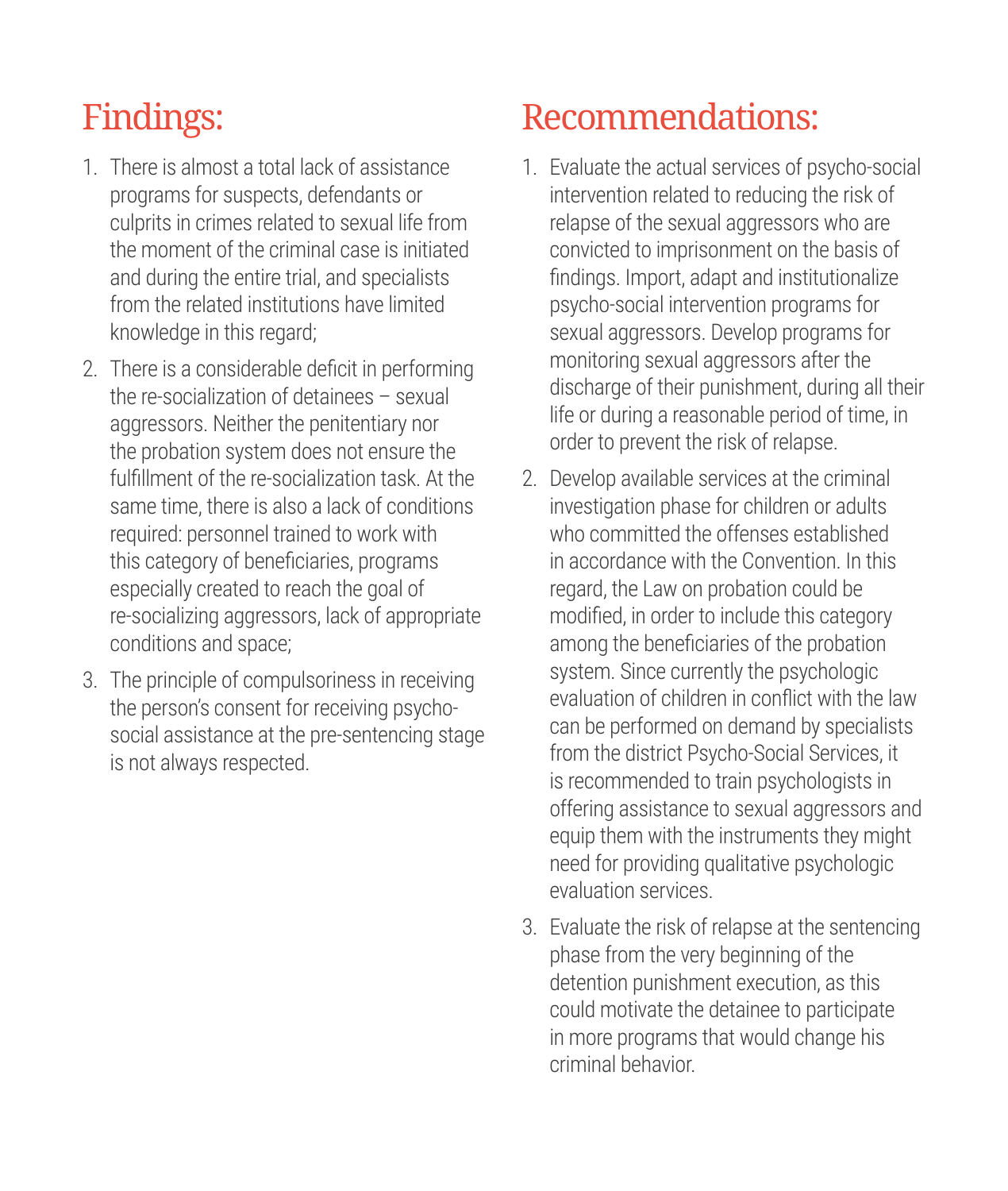- 1. There is almost a total lack of assistance programs for suspects, defendants or culprits in crimes related to sexual life from the moment of the criminal case is initiated and during the entire trial, and specialists from the related institutions have limited knowledge in this regard;
- 2. There is a considerable deficit in performing the re-socialization of detainees – sexual aggressors. Neither the penitentiary nor the probation system does not ensure the fulfillment of the re-socialization task. At the same time, there is also a lack of conditions required: personnel trained to work with this category of beneficiaries, programs especially created to reach the goal of re-socializing aggressors, lack of appropriate conditions and space;
- 3. The principle of compulsoriness in receiving the person's consent for receiving psychosocial assistance at the pre-sentencing stage is not always respected.

### Recommendations:

- 1. Evaluate the actual services of psycho-social intervention related to reducing the risk of relanse of the sexual aggressors who are convicted to imprisonment on the basis of findings. Import, adapt and institutionalize psycho-social intervention programs for sexual aggressors. Develop programs for monitoring sexual aggressors after the discharge of their punishment, during all their life or during a reasonable period of time, in order to prevent the risk of relapse.
- 2. Develop available services at the criminal investigation phase for children or adults who committed the offenses established in accordance with the Convention. In this regard, the Law on probation could be modified, in order to include this category among the beneficiaries of the probation system. Since currently the psychologic evaluation of children in conflict with the law can be performed on demand by specialists from the district Psycho-Social Services, it is recommended to train psychologists in offering assistance to sexual aggressors and equip them with the instruments they might need for providing qualitative psychologic evaluation services.
- 3. Evaluate the risk of relapse at the sentencing phase from the very beginning of the detention punishment execution, as this could motivate the detainee to participate in more programs that would change his criminal behavior.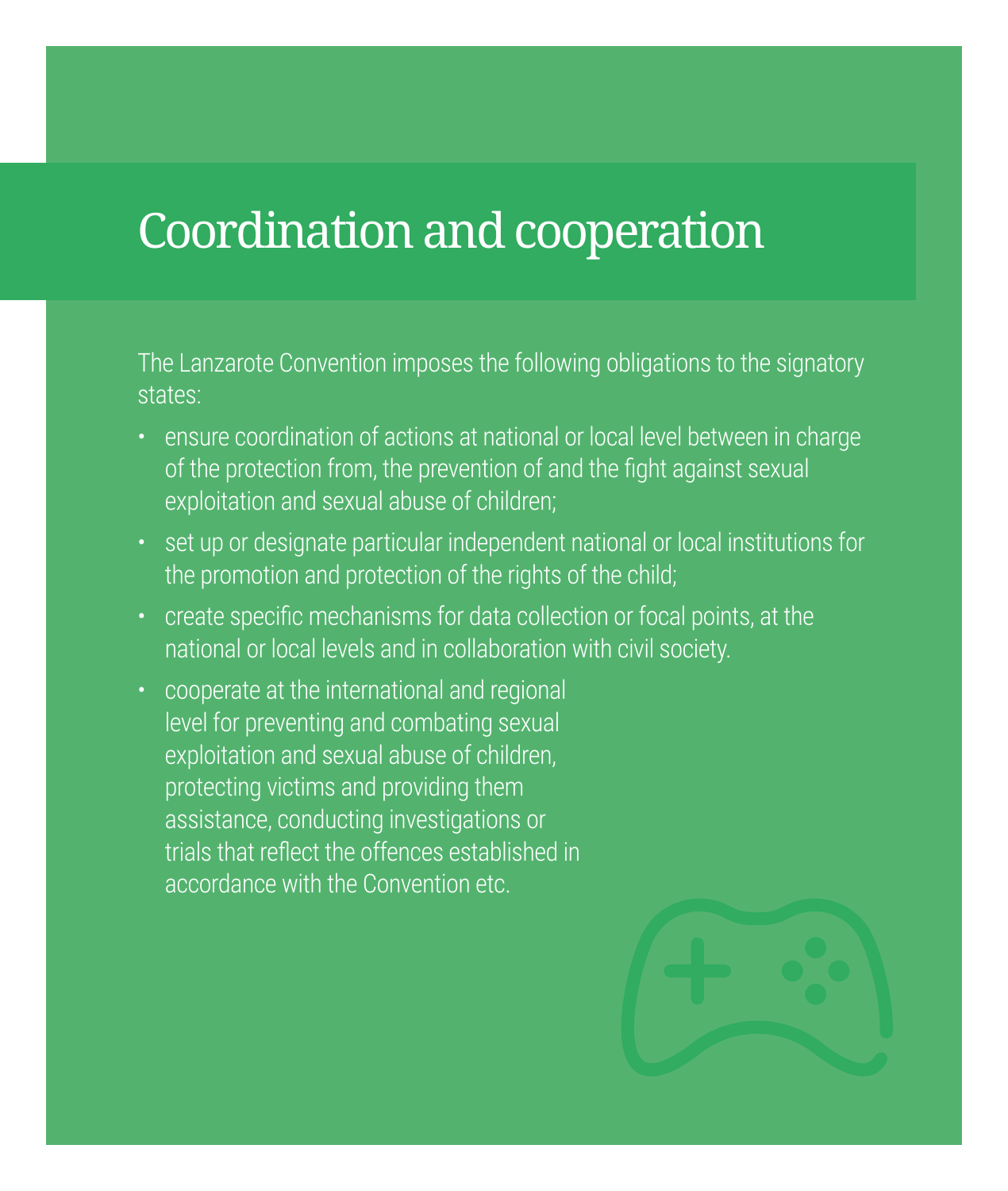# Coordination and cooperation

The Lanzarote Convention imposes the following obligations to the signatory

- ensure coordination of actions at national or local level between in charge of the protection from, the prevention of and the fight against sexual exploitation and sexual abuse of children;
- set up or designate particular independent national or local institutions for the promotion and protection of the rights of the child;
- create specific mechanisms for data collection or focal points, at the national or local levels and in collaboration with civil society.
- cooperate at the international and regional level for preventing and combating sexual exploitation and sexual abuse of children, protecting victims and providing them assistance, conducting investigations or trials that reflect the offences established in accordance with the Convention etc.

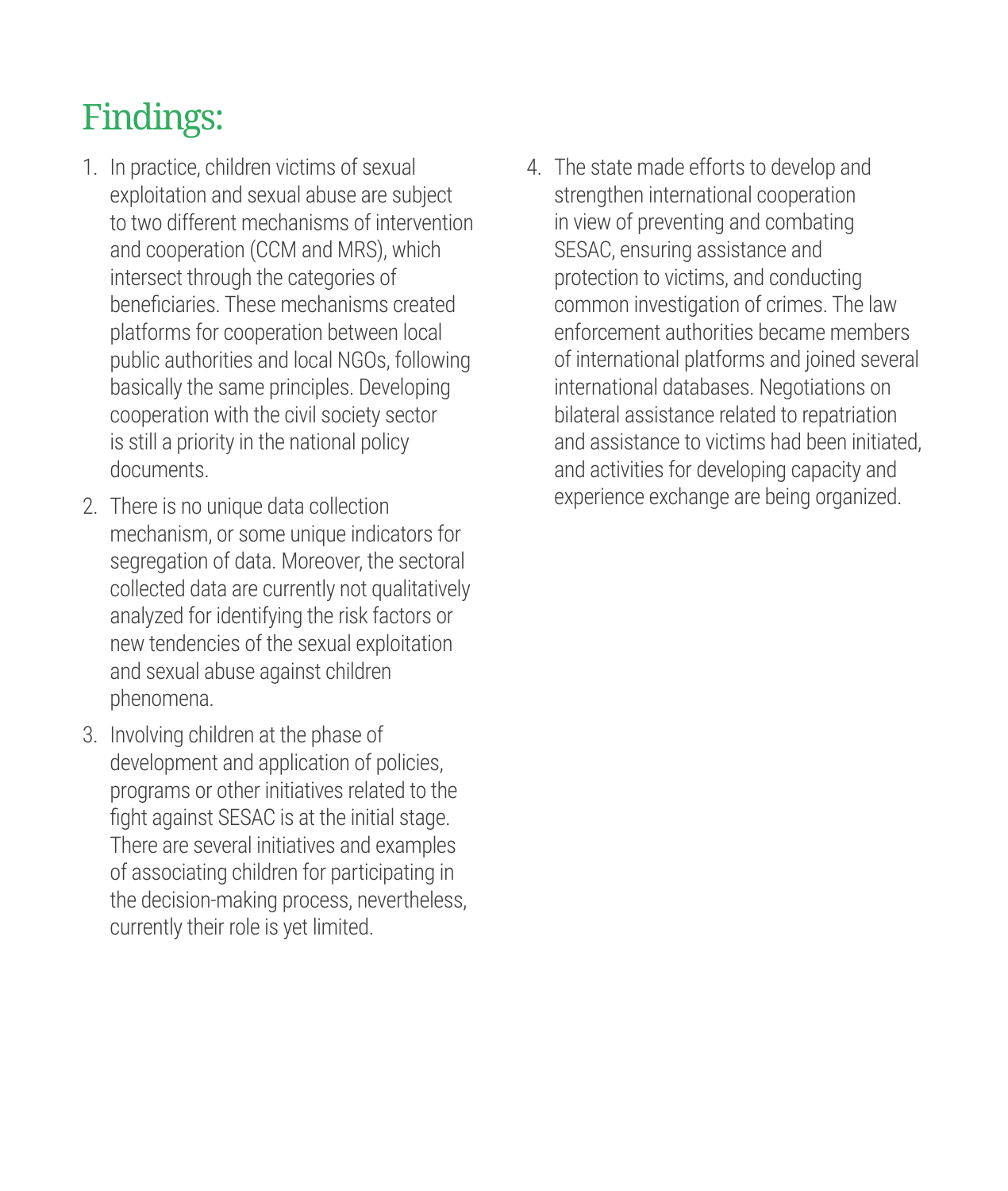- 1. In practice, children victims of sexual exploitation and sexual abuse are subject to two different mechanisms of intervention and cooperation (CCM and MRS), which intersect through the categories of beneficiaries. These mechanisms created platforms for cooperation between local public authorities and local NGOs, following basically the same principles. Developing cooperation with the civil society sector is still a priority in the national policy documents.
- 2. There is no unique data collection mechanism, or some unique indicators for segregation of data. Moreover, the sectoral collected data are currently not qualitatively analyzed for identifying the risk factors or new tendencies of the sexual exploitation and sexual abuse against children phenomena.
- 3. Involving children at the phase of development and application of policies. programs or other initiatives related to the fight against SESAC is at the initial stage. There are several initiatives and examples of associating children for participating in the decision-making process, nevertheless, currently their role is yet limited.

4. The state made efforts to develop and strengthen international cooperation in view of preventing and combating SESAC, ensuring assistance and protection to victims, and conducting common investigation of crimes. The law enforcement authorities became members of international platforms and joined several international databases. Negotiations on bilateral assistance related to repatriation and assistance to victims had been initiated, and activities for developing capacity and experience exchange are being organized.